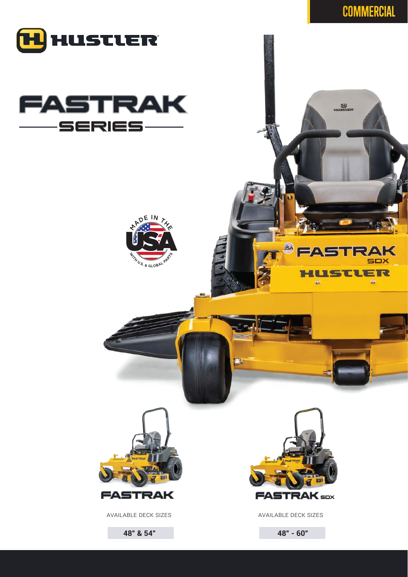

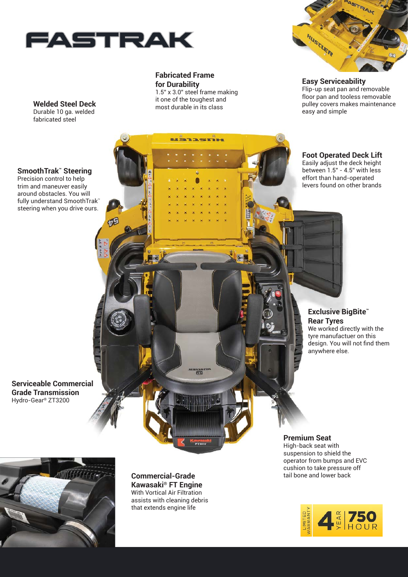

吧

**Fabricated Frame for Durability**

1.5" x 3.0" steel frame making it one of the toughest and most durable in its class

uanasmu

岡



**Easy Serviceability** Flip-up seat pan and removable floor pan and tooless removable pulley covers makes maintenance easy and simple

## **Welded Steel Deck** Durable 10 ga. welded

fabricated steel

**SmoothTrak™ Steering**

Precision control to help trim and maneuver easily around obstacles. You will fully understand SmoothTrak™ steering when you drive ours. **Foot Operated Deck Lift** Easily adjust the deck height between 1.5" - 4.5" with less

effort than hand-operated levers found on other brands

**Exclusive BigBite™ Rear Tyres** We worked directly with the tyre manufactuer on this

anywhere else.

design. You will not find them

**Serviceable Commercial Grade Transmission** Hydro-Gear® ZT3200



**Commercial-Grade Kawasaki® FT Engine** With Vortical Air Filtration assists with cleaning debris that extends engine life

### **Premium Seat**

High-back seat with suspension to shield the operator from bumps and EVC cushion to take pressure off<br>tail bone and lower back

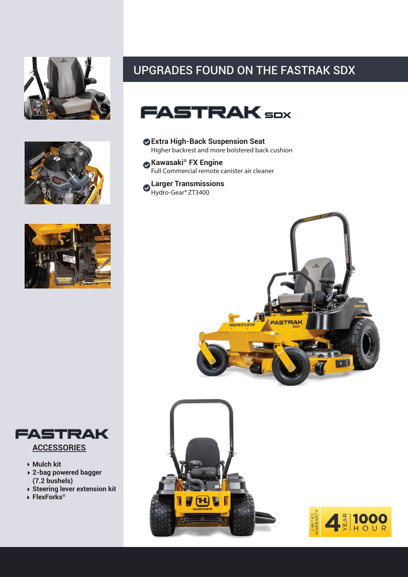







- **Mulch kit**
- **2-bag powered bagger (7.2 bushels)**
- **Steering lever extension kit**
- **FlexForks®**

# UPGRADES FOUND ON THE FASTRAK SDX



- **Extra High-Back Suspension Seat** Higher backrest and more bolstered back cushion
- **Kawasaki® FX Engine** Full Commercial remote canister air cleaner
- **Larger Transmissions** Hydro-Gear®ZT3400